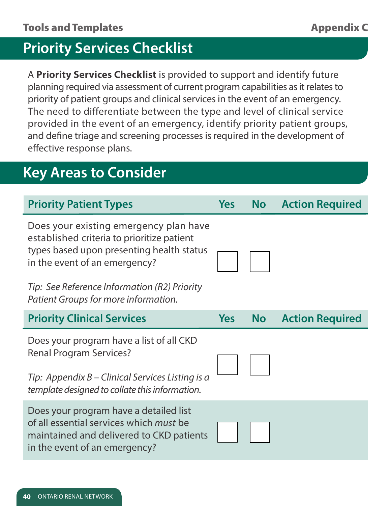# **Priority Services Checklist**

A **Priority Services Checklist** is provided to support and identify future planning required via assessment of current program capabilities as it relates to priority of patient groups and clinical services in the event of an emergency. The need to differentiate between the type and level of clinical service provided in the event of an emergency, identify priority patient groups, and define triage and screening processes is required in the development of effective response plans.

# **Key Areas to Consider**

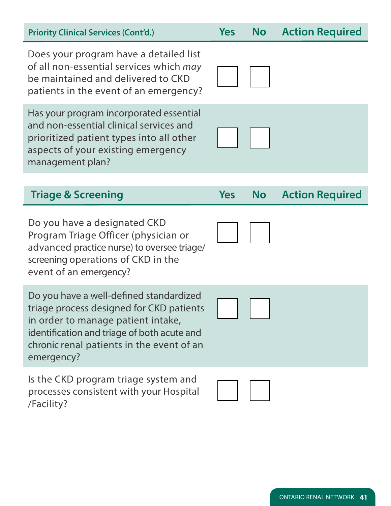| <b>Priority Clinical Services (Cont'd.)</b>                                                                                                                                                                                         | <b>Yes</b> | <b>No</b> | <b>Action Required</b> |
|-------------------------------------------------------------------------------------------------------------------------------------------------------------------------------------------------------------------------------------|------------|-----------|------------------------|
| Does your program have a detailed list<br>of all non-essential services which may<br>be maintained and delivered to CKD<br>patients in the event of an emergency?                                                                   |            |           |                        |
| Has your program incorporated essential<br>and non-essential clinical services and<br>prioritized patient types into all other<br>aspects of your existing emergency<br>management plan?                                            |            |           |                        |
|                                                                                                                                                                                                                                     |            |           |                        |
| <b>Triage &amp; Screening</b>                                                                                                                                                                                                       | <b>Yes</b> | <b>No</b> | <b>Action Required</b> |
|                                                                                                                                                                                                                                     |            |           |                        |
| Do you have a designated CKD<br>Program Triage Officer (physician or<br>advanced practice nurse) to oversee triage/<br>screening operations of CKD in the<br>event of an emergency?                                                 |            |           |                        |
| Do you have a well-defined standardized<br>triage process designed for CKD patients<br>in order to manage patient intake,<br>identification and triage of both acute and<br>chronic renal patients in the event of an<br>emergency? |            |           |                        |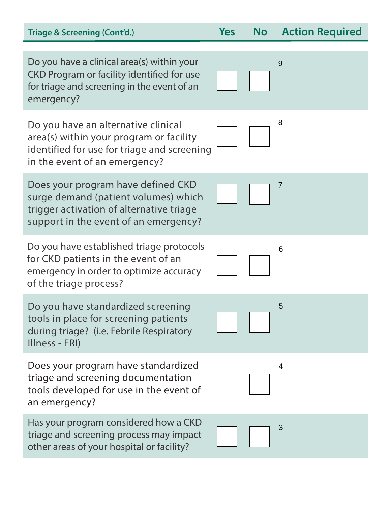| <b>Triage &amp; Screening (Cont'd.)</b>                                                                                                                         | <b>Yes</b> | <b>No</b> | <b>Action Required</b> |
|-----------------------------------------------------------------------------------------------------------------------------------------------------------------|------------|-----------|------------------------|
| Do you have a clinical area(s) within your<br>CKD Program or facility identified for use<br>for triage and screening in the event of an<br>emergency?           |            |           | 9                      |
| Do you have an alternative clinical<br>area(s) within your program or facility<br>identified for use for triage and screening<br>in the event of an emergency?  |            |           | 8                      |
| Does your program have defined CKD<br>surge demand (patient volumes) which<br>trigger activation of alternative triage<br>support in the event of an emergency? |            |           | 7                      |
| Do you have established triage protocols<br>for CKD patients in the event of an<br>emergency in order to optimize accuracy<br>of the triage process?            |            |           | 6                      |
| Do you have standardized screening<br>tools in place for screening patients<br>during triage? (i.e. Febrile Respiratory<br>Illness - FRI)                       |            |           | 5                      |
| Does your program have standardized<br>triage and screening documentation<br>tools developed for use in the event of<br>an emergency?                           |            |           | 4                      |
| Has your program considered how a CKD<br>triage and screening process may impact<br>other areas of your hospital or facility?                                   |            |           | 3                      |